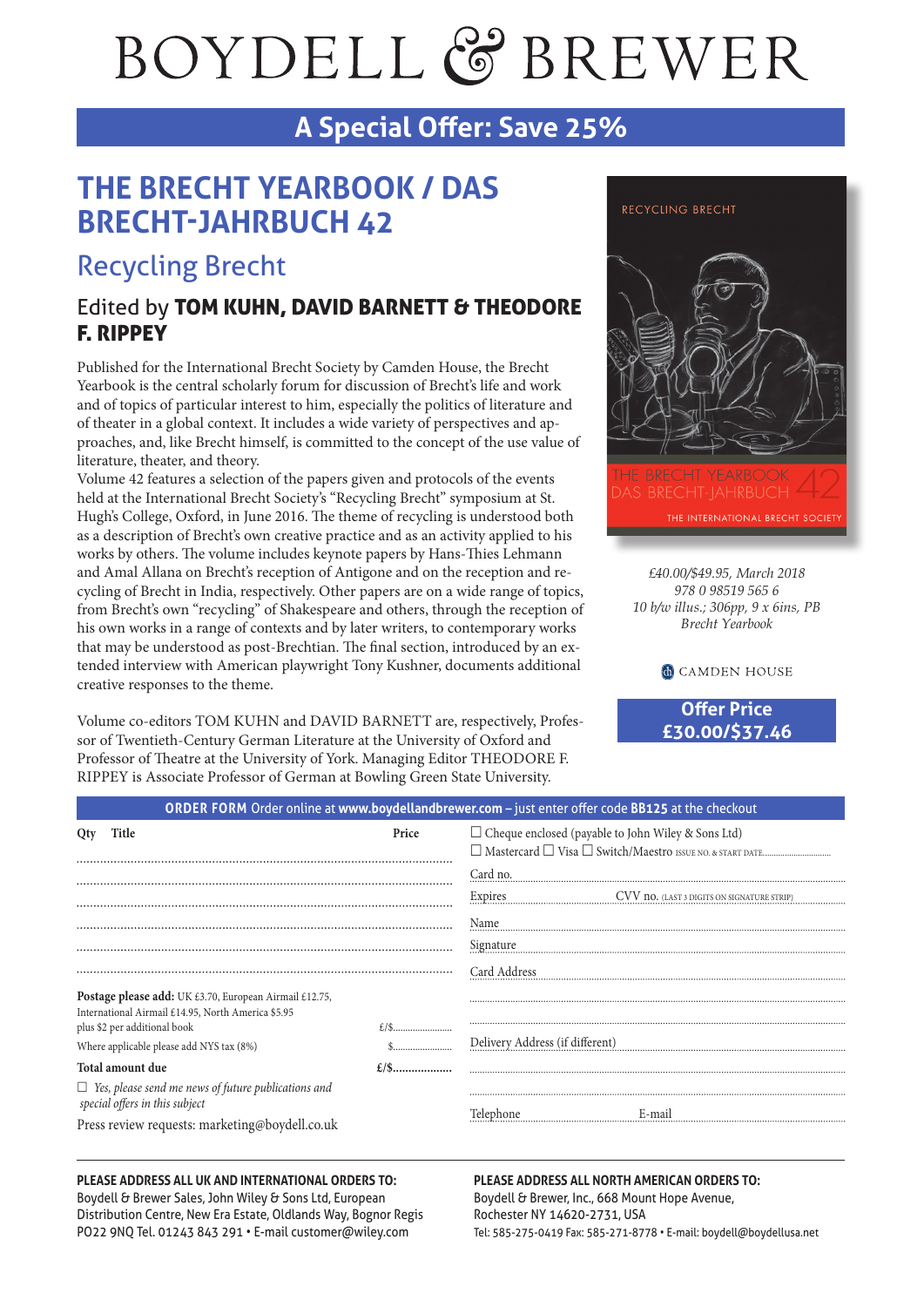# BOYDELL & BREWER

# **A Special Offer: Save 25%**

# **THE BRECHT YEARBOOK / DAS BRECHT-JAHRBUCH 42**

# Recycling Brecht

## Edited by TOM KUHN, DAVID BARNETT & THEODORE F. RIPPEY

Published for the International Brecht Society by Camden House, the Brecht Yearbook is the central scholarly forum for discussion of Brecht's life and work and of topics of particular interest to him, especially the politics of literature and of theater in a global context. It includes a wide variety of perspectives and approaches, and, like Brecht himself, is committed to the concept of the use value of literature, theater, and theory.

Volume 42 features a selection of the papers given and protocols of the events held at the International Brecht Society's "Recycling Brecht" symposium at St. Hugh's College, Oxford, in June 2016. The theme of recycling is understood both as a description of Brecht's own creative practice and as an activity applied to his works by others. The volume includes keynote papers by Hans-Thies Lehmann and Amal Allana on Brecht's reception of Antigone and on the reception and recycling of Brecht in India, respectively. Other papers are on a wide range of topics, from Brecht's own "recycling" of Shakespeare and others, through the reception of his own works in a range of contexts and by later writers, to contemporary works that may be understood as post-Brechtian. The final section, introduced by an extended interview with American playwright Tony Kushner, documents additional creative responses to the theme.

Volume co-editors TOM KUHN and DAVID BARNETT are, respectively, Professor of Twentieth-Century German Literature at the University of Oxford and Professor of Theatre at the University of York. Managing Editor THEODORE F. RIPPEY is Associate Professor of German at Bowling Green State University.



*£40.00/\$49.95, March 2018 978 0 98519 565 6 10 b/w illus.; 306pp, 9 x 6ins, PB Brecht Yearbook*

**CAMDEN HOUSE** 

**Offer Price £30.00/\$37.46**

| ORDER FORM Order online at www.boydellandbrewer.com - just enter offer code BB125 at the checkout                                                                                        |       |                                                           |                                            |
|------------------------------------------------------------------------------------------------------------------------------------------------------------------------------------------|-------|-----------------------------------------------------------|--------------------------------------------|
| Title<br>Qty                                                                                                                                                                             | Price | $\Box$ Cheque enclosed (payable to John Wiley & Sons Ltd) |                                            |
|                                                                                                                                                                                          |       | Card no.                                                  |                                            |
|                                                                                                                                                                                          |       | Expires                                                   | CVV no. (LAST 3 DIGITS ON SIGNATURE STRIP) |
|                                                                                                                                                                                          |       | Name<br>Signature                                         |                                            |
|                                                                                                                                                                                          |       | Card Address                                              |                                            |
| Postage please add: UK £3.70, European Airmail £12.75,<br>International Airmail £14.95, North America \$5.95<br>plus \$2 per additional book<br>Where applicable please add NYS tax (8%) |       | Delivery Address (if different)                           |                                            |
| Total amount due                                                                                                                                                                         |       |                                                           |                                            |
| $\Box$ Yes, please send me news of future publications and<br>special offers in this subject                                                                                             |       | Telephone                                                 | E-mail                                     |
| Press review requests: marketing@boydell.co.uk                                                                                                                                           |       |                                                           |                                            |

#### **PLEASE ADDRESS ALL UK AND INTERNATIONAL ORDERS TO:**

Boydell & Brewer Sales, John Wiley & Sons Ltd, European Distribution Centre, New Era Estate, Oldlands Way, Bognor Regis PO22 9NQ Tel. 01243 843 291 • E-mail customer@wiley.com

#### **PLEASE ADDRESS ALL NORTH AMERICAN ORDERS TO:** Boydell & Brewer, Inc., 668 Mount Hope Avenue, Rochester NY 14620-2731, USA Tel: 585-275-0419 Fax: 585-271-8778 • E-mail: boydell@boydellusa.net